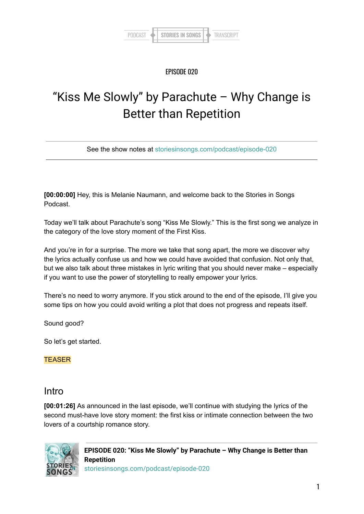### EPISODE 020

# "Kiss Me Slowly" by Parachute – Why Change is Better than Repetition

See the show notes at [storiesinsongs.com/podcast/episode-020](https://storiesinsongs.com/podcast/episode-020)

**[00:00:00]** Hey, this is Melanie Naumann, and welcome back to the Stories in Songs Podcast.

Today we'll talk about Parachute's song "Kiss Me Slowly." This is the first song we analyze in the category of the love story moment of the First Kiss.

And you're in for a surprise. The more we take that song apart, the more we discover why the lyrics actually confuse us and how we could have avoided that confusion. Not only that, but we also talk about three mistakes in lyric writing that you should never make – especially if you want to use the power of storytelling to really empower your lyrics.

There's no need to worry anymore. If you stick around to the end of the episode, I'll give you some tips on how you could avoid writing a plot that does not progress and repeats itself.

Sound good?

So let's get started.

#### **TEASER**

### Intro

**[00:01:26]** As announced in the last episode, we'll continue with studying the lyrics of the second must-have love story moment: the first kiss or intimate connection between the two lovers of a courtship romance story.

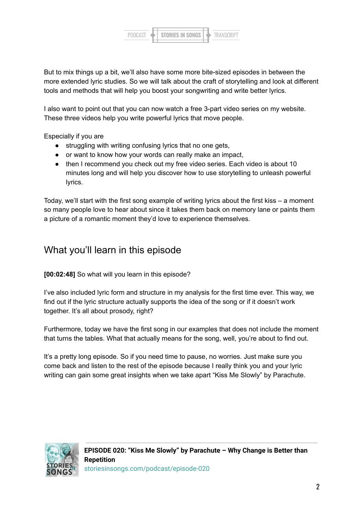

But to mix things up a bit, we'll also have some more bite-sized episodes in between the more extended lyric studies. So we will talk about the craft of storytelling and look at different tools and methods that will help you boost your songwriting and write better lyrics.

I also want to point out that you can now watch a free 3-part video series on my website. These three videos help you write powerful lyrics that move people.

Especially if you are

- struggling with writing confusing lyrics that no one gets,
- or want to know how your words can really make an impact,
- then I recommend you check out my free video series. Each video is about 10 minutes long and will help you discover how to use storytelling to unleash powerful lyrics.

Today, we'll start with the first song example of writing lyrics about the first kiss – a moment so many people love to hear about since it takes them back on memory lane or paints them a picture of a romantic moment they'd love to experience themselves.

# What you'll learn in this episode

**[00:02:48]** So what will you learn in this episode?

I've also included lyric form and structure in my analysis for the first time ever. This way, we find out if the lyric structure actually supports the idea of the song or if it doesn't work together. It's all about prosody, right?

Furthermore, today we have the first song in our examples that does not include the moment that turns the tables. What that actually means for the song, well, you're about to find out.

It's a pretty long episode. So if you need time to pause, no worries. Just make sure you come back and listen to the rest of the episode because I really think you and your lyric writing can gain some great insights when we take apart "Kiss Me Slowly" by Parachute.

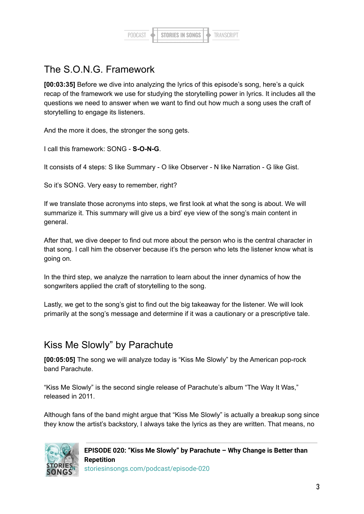

# The S.O.N.G. Framework

**[00:03:35]** Before we dive into analyzing the lyrics of this episode's song, here's a quick recap of the framework we use for studying the storytelling power in lyrics. It includes all the questions we need to answer when we want to find out how much a song uses the craft of storytelling to engage its listeners.

And the more it does, the stronger the song gets.

I call this framework: SONG - **S-O-N-G**.

It consists of 4 steps: S like Summary - O like Observer - N like Narration - G like Gist.

So it's SONG. Very easy to remember, right?

If we translate those acronyms into steps, we first look at what the song is about. We will summarize it. This summary will give us a bird' eye view of the song's main content in general.

After that, we dive deeper to find out more about the person who is the central character in that song. I call him the observer because it's the person who lets the listener know what is going on.

In the third step, we analyze the narration to learn about the inner dynamics of how the songwriters applied the craft of storytelling to the song.

Lastly, we get to the song's gist to find out the big takeaway for the listener. We will look primarily at the song's message and determine if it was a cautionary or a prescriptive tale.

# Kiss Me Slowly" by Parachute

**[00:05:05]** The song we will analyze today is "Kiss Me Slowly" by the American pop-rock band Parachute.

"Kiss Me Slowly" is the second single release of Parachute's album "The Way It Was," released in 2011.

Although fans of the band might argue that "Kiss Me Slowly" is actually a breakup song since they know the artist's backstory, I always take the lyrics as they are written. That means, no

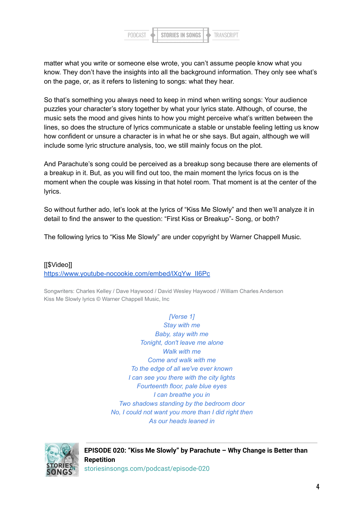

matter what you write or someone else wrote, you can't assume people know what you know. They don't have the insights into all the background information. They only see what's on the page, or, as it refers to listening to songs: what they hear.

So that's something you always need to keep in mind when writing songs: Your audience puzzles your character's story together by what your lyrics state. Although, of course, the music sets the mood and gives hints to how you might perceive what's written between the lines, so does the structure of lyrics communicate a stable or unstable feeling letting us know how confident or unsure a character is in what he or she says. But again, although we will include some lyric structure analysis, too, we still mainly focus on the plot.

And Parachute's song could be perceived as a breakup song because there are elements of a breakup in it. But, as you will find out too, the main moment the lyrics focus on is the moment when the couple was kissing in that hotel room. That moment is at the center of the lyrics.

So without further ado, let's look at the lyrics of "Kiss Me Slowly" and then we'll analyze it in detail to find the answer to the question: "First Kiss or Breakup"- Song, or both?

The following lyrics to "Kiss Me Slowly" are under copyright by Warner Chappell Music.

[[\$Video]] [https://www.youtube-nocookie.com/embed/lXqYw\\_II6Pc](https://www.youtube-nocookie.com/embed/lXqYw_II6Pc)

Songwriters: Charles Kelley / Dave Haywood / David Wesley Haywood / William Charles Anderson Kiss Me Slowly lyrics © Warner Chappell Music, Inc

> *[Verse 1] Stay with me Baby, stay with me Tonight, don't leave me alone Walk with me Come and walk with me To the edge of all we've ever known I can see you there with the city lights Fourteenth floor, pale blue eyes I can breathe you in Two shadows standing by the bedroom door No, I could not want you more than I did right then As our heads leaned in*

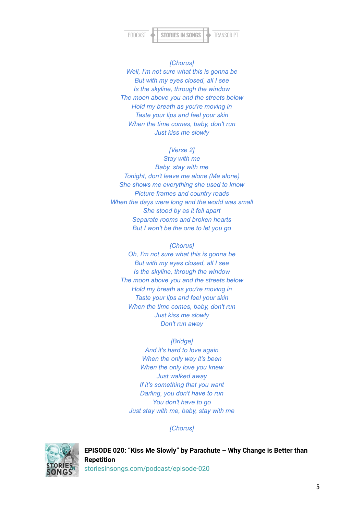

TRANSCRIPT

*[Chorus] Well, I'm not sure what this is gonna be But with my eyes closed, all I see Is the skyline, through the window The moon above you and the streets below Hold my breath as you're moving in Taste your lips and feel your skin When the time comes, baby, don't run Just kiss me slowly*

**STORIES IN SONGS** 

#### *[Verse 2]*

*Stay with me Baby, stay with me Tonight, don't leave me alone (Me alone) She shows me everything she used to know Picture frames and country roads When the days were long and the world was small She stood by as it fell apart Separate rooms and broken hearts But I won't be the one to let you go*

#### *[Chorus]*

*Oh, I'm not sure what this is gonna be But with my eyes closed, all I see Is the skyline, through the window The moon above you and the streets below Hold my breath as you're moving in Taste your lips and feel your skin When the time comes, baby, don't run Just kiss me slowly Don't run away*

*[Bridge] And it's hard to love again When the only way it's been When the only love you knew Just walked away If it's something that you want Darling, you don't have to run You don't have to go Just stay with me, baby, stay with me*

*[Chorus]*

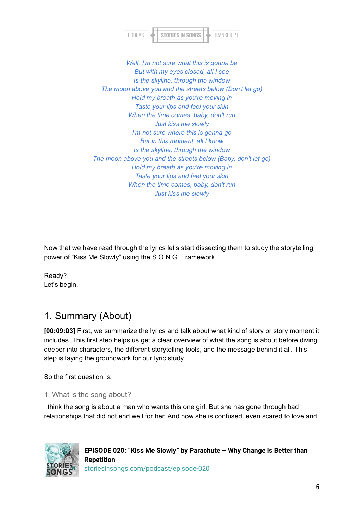

**TRANSCRIPT** 

*Well, I'm not sure what this is gonna be But with my eyes closed, all I see Is the skyline, through the window The moon above you and the streets below (Don't let go) Hold my breath as you're moving in Taste your lips and feel your skin When the time comes, baby, don't run Just kiss me slowly I'm not sure where this is gonna go But in this moment, all I know Is the skyline, through the window The moon above you and the streets below (Baby, don't let go) Hold my breath as you're moving in Taste your lips and feel your skin When the time comes, baby, don't run Just kiss me slowly*

**STORIES IN SONGS** 

Now that we have read through the lyrics let's start dissecting them to study the storytelling power of "Kiss Me Slowly" using the S.O.N.G. Framework.

Ready? Let's begin.

# 1. Summary (About)

**[00:09:03]** First, we summarize the lyrics and talk about what kind of story or story moment it includes. This first step helps us get a clear overview of what the song is about before diving deeper into characters, the different storytelling tools, and the message behind it all. This step is laying the groundwork for our lyric study.

So the first question is:

### 1. What is the song about?

I think the song is about a man who wants this one girl. But she has gone through bad relationships that did not end well for her. And now she is confused, even scared to love and

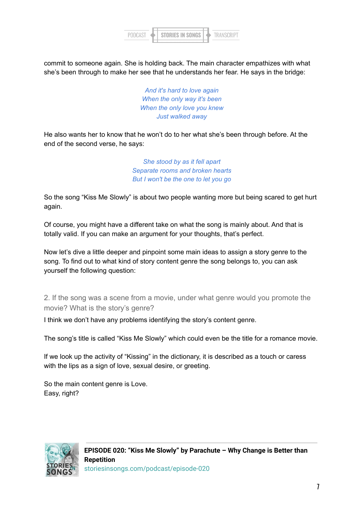



commit to someone again. She is holding back. The main character empathizes with what she's been through to make her see that he understands her fear. He says in the bridge:

**STORIES IN SONGS** 

*And it's hard to love again When the only way it's been When the only love you knew Just walked away*

He also wants her to know that he won't do to her what she's been through before. At the end of the second verse, he says:

> *She stood by as it fell apart Separate rooms and broken hearts But I won't be the one to let you go*

So the song "Kiss Me Slowly" is about two people wanting more but being scared to get hurt again.

Of course, you might have a different take on what the song is mainly about. And that is totally valid. If you can make an argument for your thoughts, that's perfect.

Now let's dive a little deeper and pinpoint some main ideas to assign a story genre to the song. To find out to what kind of story content genre the song belongs to, you can ask yourself the following question:

2. If the song was a scene from a movie, under what genre would you promote the movie? What is the story's genre?

I think we don't have any problems identifying the story's content genre.

The song's title is called "Kiss Me Slowly" which could even be the title for a romance movie.

If we look up the activity of "Kissing" in the dictionary, it is described as a touch or caress with the lips as a sign of love, sexual desire, or greeting.

So the main content genre is Love. Easy, right?

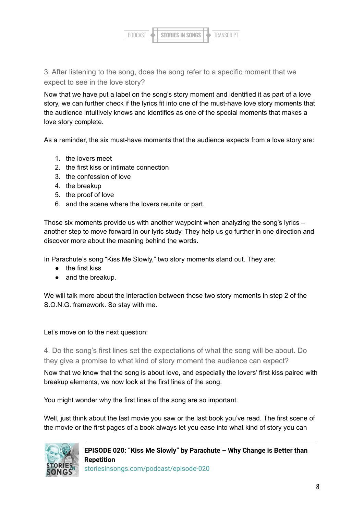

3. After listening to the song, does the song refer to a specific moment that we expect to see in the love story?

Now that we have put a label on the song's story moment and identified it as part of a love story, we can further check if the lyrics fit into one of the must-have love story moments that the audience intuitively knows and identifies as one of the special moments that makes a love story complete.

As a reminder, the six must-have moments that the audience expects from a love story are:

- 1. the lovers meet
- 2. the first kiss or intimate connection
- 3. the confession of love
- 4. the breakup
- 5. the proof of love
- 6. and the scene where the lovers reunite or part.

Those six moments provide us with another waypoint when analyzing the song's lyrics – another step to move forward in our lyric study. They help us go further in one direction and discover more about the meaning behind the words.

In Parachute's song "Kiss Me Slowly," two story moments stand out. They are:

- the first kiss
- and the breakup.

We will talk more about the interaction between those two story moments in step 2 of the S.O.N.G. framework. So stay with me.

Let's move on to the next question:

4. Do the song's first lines set the expectations of what the song will be about. Do they give a promise to what kind of story moment the audience can expect?

Now that we know that the song is about love, and especially the lovers' first kiss paired with breakup elements, we now look at the first lines of the song.

You might wonder why the first lines of the song are so important.

Well, just think about the last movie you saw or the last book you've read. The first scene of the movie or the first pages of a book always let you ease into what kind of story you can

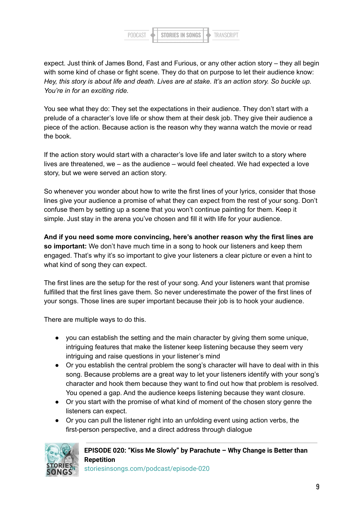

expect. Just think of James Bond, Fast and Furious, or any other action story – they all begin with some kind of chase or fight scene. They do that on purpose to let their audience know: Hey, this story is about life and death. Lives are at stake. It's an action story. So buckle up. *You're in for an exciting ride.*

You see what they do: They set the expectations in their audience. They don't start with a prelude of a character's love life or show them at their desk job. They give their audience a piece of the action. Because action is the reason why they wanna watch the movie or read the book.

If the action story would start with a character's love life and later switch to a story where lives are threatened, we – as the audience – would feel cheated. We had expected a love story, but we were served an action story.

So whenever you wonder about how to write the first lines of your lyrics, consider that those lines give your audience a promise of what they can expect from the rest of your song. Don't confuse them by setting up a scene that you won't continue painting for them. Keep it simple. Just stay in the arena you've chosen and fill it with life for your audience.

**And if you need some more convincing, here's another reason why the first lines are so important:** We don't have much time in a song to hook our listeners and keep them engaged. That's why it's so important to give your listeners a clear picture or even a hint to what kind of song they can expect.

The first lines are the setup for the rest of your song. And your listeners want that promise fulfilled that the first lines gave them. So never underestimate the power of the first lines of your songs. Those lines are super important because their job is to hook your audience.

There are multiple ways to do this.

- you can establish the setting and the main character by giving them some unique, intriguing features that make the listener keep listening because they seem very intriguing and raise questions in your listener's mind
- Or you establish the central problem the song's character will have to deal with in this song. Because problems are a great way to let your listeners identify with your song's character and hook them because they want to find out how that problem is resolved. You opened a gap. And the audience keeps listening because they want closure.
- Or you start with the promise of what kind of moment of the chosen story genre the listeners can expect.
- Or you can pull the listener right into an unfolding event using action verbs, the first-person perspective, and a direct address through dialogue



**EPISODE 020: "Kiss Me Slowly" by Parachute – Why Change is Better than Repetition**

[storiesinsongs.com/podcast/episode-020](https://storiesinsongs.com/podcast/episode-020/)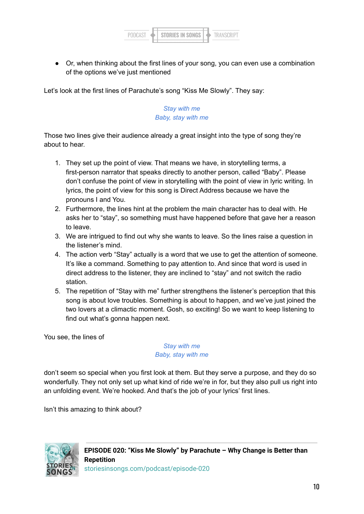

● Or, when thinking about the first lines of your song, you can even use a combination of the options we've just mentioned

Let's look at the first lines of Parachute's song "Kiss Me Slowly". They say:

#### *Stay with me Baby, stay with me*

Those two lines give their audience already a great insight into the type of song they're about to hear.

- 1. They set up the point of view. That means we have, in storytelling terms, a first-person narrator that speaks directly to another person, called "Baby". Please don't confuse the point of view in storytelling with the point of view in lyric writing. In lyrics, the point of view for this song is Direct Address because we have the pronouns I and You.
- 2. Furthermore, the lines hint at the problem the main character has to deal with. He asks her to "stay", so something must have happened before that gave her a reason to leave.
- 3. We are intrigued to find out why she wants to leave. So the lines raise a question in the listener's mind.
- 4. The action verb "Stay" actually is a word that we use to get the attention of someone. It's like a command. Something to pay attention to. And since that word is used in direct address to the listener, they are inclined to "stay" and not switch the radio station.
- 5. The repetition of "Stay with me" further strengthens the listener's perception that this song is about love troubles. Something is about to happen, and we've just joined the two lovers at a climactic moment. Gosh, so exciting! So we want to keep listening to find out what's gonna happen next.

You see, the lines of

#### *Stay with me Baby, stay with me*

don't seem so special when you first look at them. But they serve a purpose, and they do so wonderfully. They not only set up what kind of ride we're in for, but they also pull us right into an unfolding event. We're hooked. And that's the job of your lyrics' first lines.

Isn't this amazing to think about?

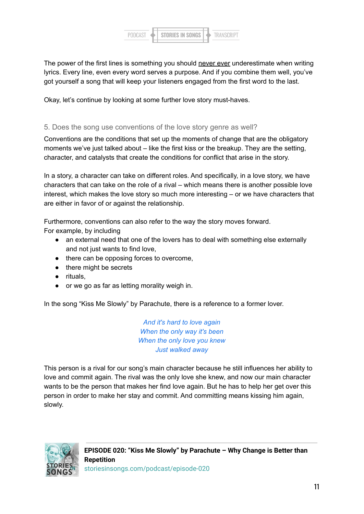

The power of the first lines is something you should never ever underestimate when writing lyrics. Every line, even every word serves a purpose. And if you combine them well, you've got yourself a song that will keep your listeners engaged from the first word to the last.

Okay, let's continue by looking at some further love story must-haves.

#### 5. Does the song use conventions of the love story genre as well?

Conventions are the conditions that set up the moments of change that are the obligatory moments we've just talked about – like the first kiss or the breakup. They are the setting, character, and catalysts that create the conditions for conflict that arise in the story.

In a story, a character can take on different roles. And specifically, in a love story, we have characters that can take on the role of a rival – which means there is another possible love interest, which makes the love story so much more interesting – or we have characters that are either in favor of or against the relationship.

Furthermore, conventions can also refer to the way the story moves forward.

For example, by including

- an external need that one of the lovers has to deal with something else externally and not just wants to find love,
- there can be opposing forces to overcome,
- there might be secrets
- rituals,
- or we go as far as letting morality weigh in.

In the song "Kiss Me Slowly" by Parachute, there is a reference to a former lover.

*And it's hard to love again When the only way it's been When the only love you knew Just walked away*

This person is a rival for our song's main character because he still influences her ability to love and commit again. The rival was the only love she knew, and now our main character wants to be the person that makes her find love again. But he has to help her get over this person in order to make her stay and commit. And committing means kissing him again, slowly.

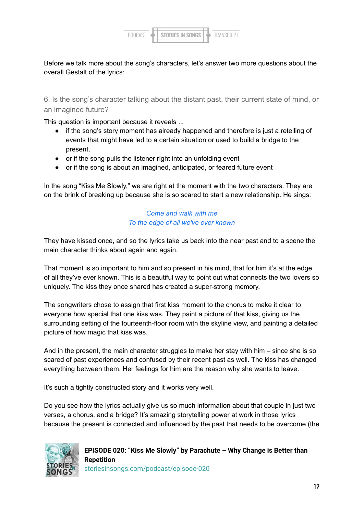

Before we talk more about the song's characters, let's answer two more questions about the overall Gestalt of the lyrics:

6. Is the song's character talking about the distant past, their current state of mind, or an imagined future?

This question is important because it reveals ...

- if the song's story moment has already happened and therefore is just a retelling of events that might have led to a certain situation or used to build a bridge to the present,
- or if the song pulls the listener right into an unfolding event
- or if the song is about an imagined, anticipated, or feared future event

In the song "Kiss Me Slowly," we are right at the moment with the two characters. They are on the brink of breaking up because she is so scared to start a new relationship. He sings:

### *Come and walk with me To the edge of all we've ever known*

They have kissed once, and so the lyrics take us back into the near past and to a scene the main character thinks about again and again.

That moment is so important to him and so present in his mind, that for him it's at the edge of all they've ever known. This is a beautiful way to point out what connects the two lovers so uniquely. The kiss they once shared has created a super-strong memory.

The songwriters chose to assign that first kiss moment to the chorus to make it clear to everyone how special that one kiss was. They paint a picture of that kiss, giving us the surrounding setting of the fourteenth-floor room with the skyline view, and painting a detailed picture of how magic that kiss was.

And in the present, the main character struggles to make her stay with him – since she is so scared of past experiences and confused by their recent past as well. The kiss has changed everything between them. Her feelings for him are the reason why she wants to leave.

It's such a tightly constructed story and it works very well.

Do you see how the lyrics actually give us so much information about that couple in just two verses, a chorus, and a bridge? It's amazing storytelling power at work in those lyrics because the present is connected and influenced by the past that needs to be overcome (the

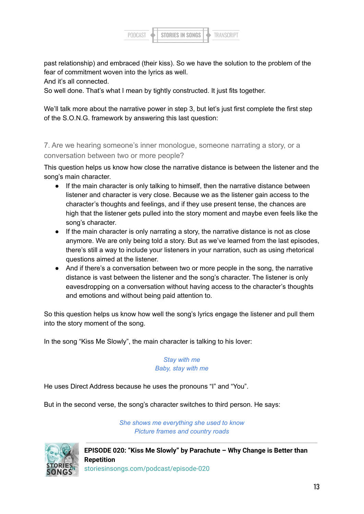

past relationship) and embraced (their kiss). So we have the solution to the problem of the fear of commitment woven into the lyrics as well.

And it's all connected.

So well done. That's what I mean by tightly constructed. It just fits together.

We'll talk more about the narrative power in step 3, but let's just first complete the first step of the S.O.N.G. framework by answering this last question:

7. Are we hearing someone's inner monologue, someone narrating a story, or a conversation between two or more people?

This question helps us know how close the narrative distance is between the listener and the song's main character.

- If the main character is only talking to himself, then the narrative distance between listener and character is very close. Because we as the listener gain access to the character's thoughts and feelings, and if they use present tense, the chances are high that the listener gets pulled into the story moment and maybe even feels like the song's character.
- If the main character is only narrating a story, the narrative distance is not as close anymore. We are only being told a story. But as we've learned from the last episodes, there's still a way to include your listeners in your narration, such as using rhetorical questions aimed at the listener.
- And if there's a conversation between two or more people in the song, the narrative distance is vast between the listener and the song's character. The listener is only eavesdropping on a conversation without having access to the character's thoughts and emotions and without being paid attention to.

So this question helps us know how well the song's lyrics engage the listener and pull them into the story moment of the song.

In the song "Kiss Me Slowly", the main character is talking to his lover:

*Stay with me Baby, stay with me*

He uses Direct Address because he uses the pronouns "I" and "You".

But in the second verse, the song's character switches to third person. He says:

*She shows me everything she used to know Picture frames and country roads*

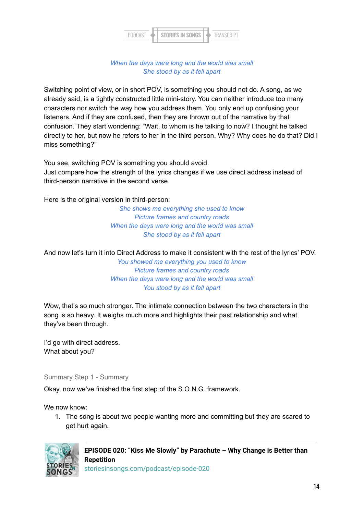

#### *When the days were long and the world was small She stood by as it fell apart*

Switching point of view, or in short POV, is something you should not do. A song, as we already said, is a tightly constructed little mini-story. You can neither introduce too many characters nor switch the way how you address them. You only end up confusing your listeners. And if they are confused, then they are thrown out of the narrative by that confusion. They start wondering: "Wait, to whom is he talking to now? I thought he talked directly to her, but now he refers to her in the third person. Why? Why does he do that? Did I miss something?"

You see, switching POV is something you should avoid.

Just compare how the strength of the lyrics changes if we use direct address instead of third-person narrative in the second verse.

Here is the original version in third-person:

*She shows me everything she used to know Picture frames and country roads When the days were long and the world was small She stood by as it fell apart*

And now let's turn it into Direct Address to make it consistent with the rest of the lyrics' POV.

*You showed me everything you used to know Picture frames and country roads When the days were long and the world was small You stood by as it fell apart*

Wow, that's so much stronger. The intimate connection between the two characters in the song is so heavy. It weighs much more and highlights their past relationship and what they've been through.

I'd go with direct address. What about you?

Summary Step 1 - Summary

Okay, now we've finished the first step of the S.O.N.G. framework.

We now know:

1. The song is about two people wanting more and committing but they are scared to get hurt again.

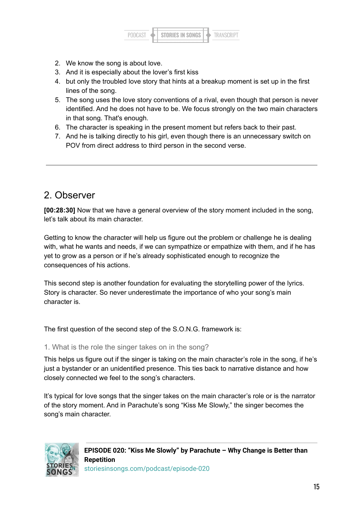

- 2. We know the song is about love.
- 3. And it is especially about the lover's first kiss
- 4. but only the troubled love story that hints at a breakup moment is set up in the first lines of the song.
- 5. The song uses the love story conventions of a rival, even though that person is never identified. And he does not have to be. We focus strongly on the two main characters in that song. That's enough.
- 6. The character is speaking in the present moment but refers back to their past.
- 7. And he is talking directly to his girl, even though there is an unnecessary switch on POV from direct address to third person in the second verse.

# 2. Observer

**[00:28:30]** Now that we have a general overview of the story moment included in the song, let's talk about its main character.

Getting to know the character will help us figure out the problem or challenge he is dealing with, what he wants and needs, if we can sympathize or empathize with them, and if he has yet to grow as a person or if he's already sophisticated enough to recognize the consequences of his actions.

This second step is another foundation for evaluating the storytelling power of the lyrics. Story is character. So never underestimate the importance of who your song's main character is.

The first question of the second step of the S.O.N.G. framework is:

### 1. What is the role the singer takes on in the song?

This helps us figure out if the singer is taking on the main character's role in the song, if he's just a bystander or an unidentified presence. This ties back to narrative distance and how closely connected we feel to the song's characters.

It's typical for love songs that the singer takes on the main character's role or is the narrator of the story moment. And in Parachute's song "Kiss Me Slowly," the singer becomes the song's main character.

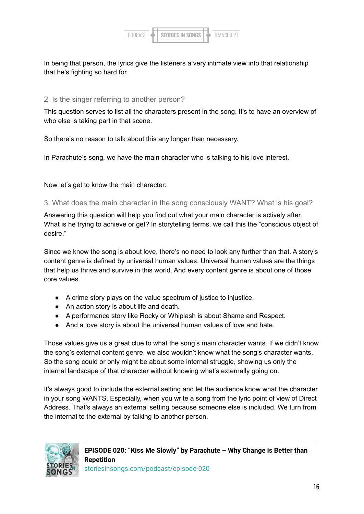

In being that person, the lyrics give the listeners a very intimate view into that relationship that he's fighting so hard for.

#### 2. Is the singer referring to another person?

This question serves to list all the characters present in the song. It's to have an overview of who else is taking part in that scene.

So there's no reason to talk about this any longer than necessary.

In Parachute's song, we have the main character who is talking to his love interest.

Now let's get to know the main character:

#### 3. What does the main character in the song consciously WANT? What is his goal?

Answering this question will help you find out what your main character is actively after. What is he trying to achieve or get? In storytelling terms, we call this the "conscious object of desire."

Since we know the song is about love, there's no need to look any further than that. A story's content genre is defined by universal human values. Universal human values are the things that help us thrive and survive in this world. And every content genre is about one of those core values.

- A crime story plays on the value spectrum of justice to injustice.
- An action story is about life and death.
- A performance story like Rocky or Whiplash is about Shame and Respect.
- And a love story is about the universal human values of love and hate.

Those values give us a great clue to what the song's main character wants. If we didn't know the song's external content genre, we also wouldn't know what the song's character wants. So the song could or only might be about some internal struggle, showing us only the internal landscape of that character without knowing what's externally going on.

It's always good to include the external setting and let the audience know what the character in your song WANTS. Especially, when you write a song from the lyric point of view of Direct Address. That's always an external setting because someone else is included. We turn from the internal to the external by talking to another person.

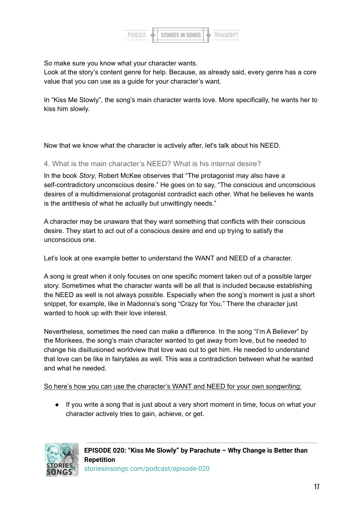

So make sure you know what your character wants.

Look at the story's content genre for help. Because, as already said, every genre has a core value that you can use as a guide for your character's want.

In "Kiss Me Slowly", the song's main character wants love. More specifically, he wants her to kiss him slowly.

Now that we know what the character is actively after, let's talk about his NEED.

#### 4. What is the main character's NEED? What is his internal desire?

In the book *Story*, Robert McKee observes that "The protagonist may also have a self-contradictory unconscious desire." He goes on to say, "The conscious and unconscious desires of a multidimensional protagonist contradict each other. What he believes he wants is the antithesis of what he actually but unwittingly needs."

A character may be unaware that they want something that conflicts with their conscious desire. They start to act out of a conscious desire and end up trying to satisfy the unconscious one.

Let's look at one example better to understand the WANT and NEED of a character.

A song is great when it only focuses on one specific moment taken out of a possible larger story. Sometimes what the character wants will be all that is included because establishing the NEED as well is not always possible. Especially when the song's moment is just a short snippet, for example, like in Madonna's song "Crazy for You." There the character just wanted to hook up with their love interest.

Nevertheless, sometimes the need can make a difference. In the song "I'm A Believer" by the Monkees, the song's main character wanted to get away from love, but he needed to change his disillusioned worldview that love was out to get him. He needed to understand that love can be like in fairytales as well. This was a contradiction between what he wanted and what he needed.

So here's how you can use the character's WANT and NEED for your own songwriting:

● If you write a song that is just about a very short moment in time, focus on what your character actively tries to gain, achieve, or get.

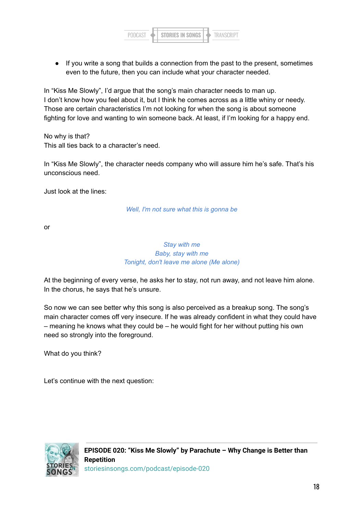

● If you write a song that builds a connection from the past to the present, sometimes even to the future, then you can include what your character needed.

In "Kiss Me Slowly", I'd argue that the song's main character needs to man up. I don't know how you feel about it, but I think he comes across as a little whiny or needy. Those are certain characteristics I'm not looking for when the song is about someone fighting for love and wanting to win someone back. At least, if I'm looking for a happy end.

No why is that? This all ties back to a character's need.

In "Kiss Me Slowly", the character needs company who will assure him he's safe. That's his unconscious need.

Just look at the lines:

*Well, I'm not sure what this is gonna be*

or

#### *Stay with me Baby, stay with me Tonight, don't leave me alone (Me alone)*

At the beginning of every verse, he asks her to stay, not run away, and not leave him alone. In the chorus, he says that he's unsure.

So now we can see better why this song is also perceived as a breakup song. The song's main character comes off very insecure. If he was already confident in what they could have – meaning he knows what they could be – he would fight for her without putting his own need so strongly into the foreground.

What do you think?

Let's continue with the next question:

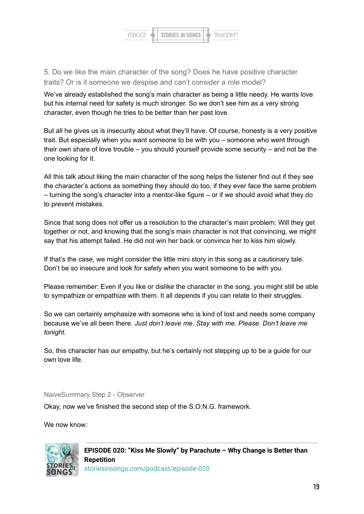

TRANSCRIPT

5. Do we like the main character of the song? Does he have positive character traits? Or is it someone we despise and can't consider a role model?

We've already established the song's main character as being a little needy. He wants love but his internal need for safety is much stronger. So we don't see him as a very strong character, even though he tries to be better than her past love.

But all he gives us is insecurity about what they'll have. Of course, honesty is a very positive trait. But especially when you want someone to be with you – someone who went through their own share of love trouble – you should yourself provide some security – and not be the one looking for it.

All this talk about liking the main character of the song helps the listener find out if they see the character's actions as something they should do too, if they ever face the same problem – turning the song's character into a mentor-like figure – or if we should avoid what they do to prevent mistakes.

Since that song does not offer us a resolution to the character's main problem: Will they get together or not, and knowing that the song's main character is not that convincing, we might say that his attempt failed. He did not win her back or convince her to kiss him slowly.

If that's the case, we might consider the little mini story in this song as a cautionary tale. Don't be so insecure and look for safety when you want someone to be with you.

Please remember: Even if you like or dislike the character in the song, you might still be able to sympathize or empathize with them. It all depends if you can relate to their struggles.

So we can certainly emphasize with someone who is kind of lost and needs some company because we've all been there. *Just don't leave me. Stay with me. Please. Don't leave me tonight.*

So, this character has our empathy, but he's certainly not stepping up to be a guide for our own love life.

#### NaiveSummary Step 2 - Observer

Okay, now we've finished the second step of the S.O.N.G. framework.

We now know:

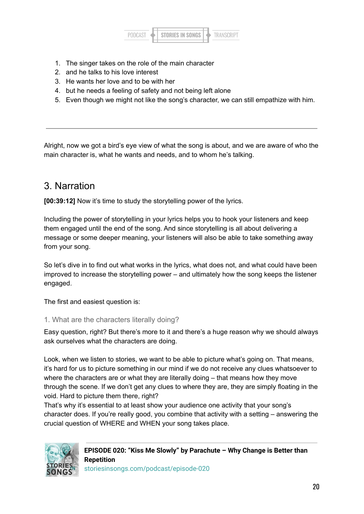

- 1. The singer takes on the role of the main character
- 2. and he talks to his love interest
- 3. He wants her love and to be with her
- 4. but he needs a feeling of safety and not being left alone
- 5. Even though we might not like the song's character, we can still empathize with him.

Alright, now we got a bird's eye view of what the song is about, and we are aware of who the main character is, what he wants and needs, and to whom he's talking.

# 3. Narration

**[00:39:12]** Now it's time to study the storytelling power of the lyrics.

Including the power of storytelling in your lyrics helps you to hook your listeners and keep them engaged until the end of the song. And since storytelling is all about delivering a message or some deeper meaning, your listeners will also be able to take something away from your song.

So let's dive in to find out what works in the lyrics, what does not, and what could have been improved to increase the storytelling power – and ultimately how the song keeps the listener engaged.

The first and easiest question is:

#### 1. What are the characters literally doing?

Easy question, right? But there's more to it and there's a huge reason why we should always ask ourselves what the characters are doing.

Look, when we listen to stories, we want to be able to picture what's going on. That means, it's hard for us to picture something in our mind if we do not receive any clues whatsoever to where the characters are or what they are literally doing – that means how they move through the scene. If we don't get any clues to where they are, they are simply floating in the void. Hard to picture them there, right?

That's why it's essential to at least show your audience one activity that your song's character does. If you're really good, you combine that activity with a setting – answering the crucial question of WHERE and WHEN your song takes place.



**EPISODE 020: "Kiss Me Slowly" by Parachute – Why Change is Better than Repetition**

[storiesinsongs.com/podcast/episode-020](https://storiesinsongs.com/podcast/episode-020/)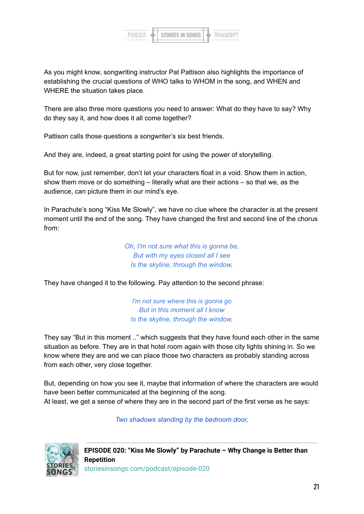

As you might know, songwriting instructor Pat Pattison also highlights the importance of establishing the crucial questions of WHO talks to WHOM in the song, and WHEN and WHERE the situation takes place.

There are also three more questions you need to answer: What do they have to say? Why do they say it, and how does it all come together?

Pattison calls those questions a songwriter's six best friends.

And they are, indeed, a great starting point for using the power of storytelling.

But for now, just remember, don't let your characters float in a void. Show them in action, show them move or do something – literally what are their actions – so that we, as the audience, can picture them in our mind's eye.

In Parachute's song "Kiss Me Slowly", we have no clue where the character is at the present moment until the end of the song. They have changed the first and second line of the chorus from:

> *Oh, I'm not sure what this is gonna be, But with my eyes closed all I see Is the skyline, through the window,*

They have changed it to the following. Pay attention to the second phrase:

*I'm not sure where this is gonna go But in this moment all I know Is the skyline, through the window,*

They say "But in this moment .." which suggests that they have found each other in the same situation as before. They are in that hotel room again with those city lights shining in. So we know where they are and we can place those two characters as probably standing across from each other, very close together.

But, depending on how you see it, maybe that information of where the characters are would have been better communicated at the beginning of the song. At least, we get a sense of where they are in the second part of the first verse as he says:

*Two shadows standing by the bedroom door,*

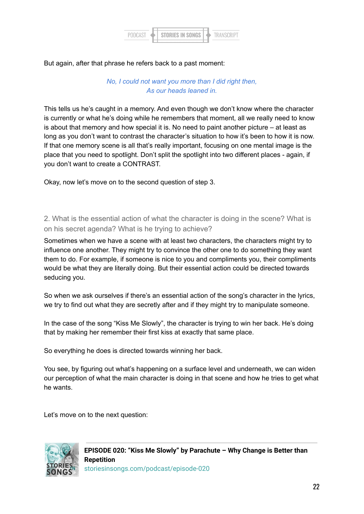

But again, after that phrase he refers back to a past moment:

#### *No, I could not want you more than I did right then, As our heads leaned in.*

This tells us he's caught in a memory. And even though we don't know where the character is currently or what he's doing while he remembers that moment, all we really need to know is about that memory and how special it is. No need to paint another picture – at least as long as you don't want to contrast the character's situation to how it's been to how it is now. If that one memory scene is all that's really important, focusing on one mental image is the place that you need to spotlight. Don't split the spotlight into two different places - again, if you don't want to create a CONTRAST.

Okay, now let's move on to the second question of step 3.

2. What is the essential action of what the character is doing in the scene? What is on his secret agenda? What is he trying to achieve?

Sometimes when we have a scene with at least two characters, the characters might try to influence one another. They might try to convince the other one to do something they want them to do. For example, if someone is nice to you and compliments you, their compliments would be what they are literally doing. But their essential action could be directed towards seducing you.

So when we ask ourselves if there's an essential action of the song's character in the lyrics, we try to find out what they are secretly after and if they might try to manipulate someone.

In the case of the song "Kiss Me Slowly", the character is trying to win her back. He's doing that by making her remember their first kiss at exactly that same place.

So everything he does is directed towards winning her back.

You see, by figuring out what's happening on a surface level and underneath, we can widen our perception of what the main character is doing in that scene and how he tries to get what he wants.

Let's move on to the next question:

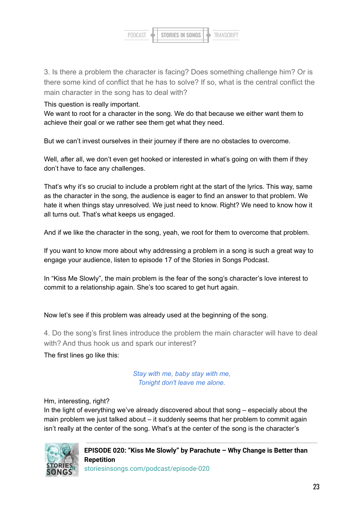

3. Is there a problem the character is facing? Does something challenge him? Or is there some kind of conflict that he has to solve? If so, what is the central conflict the main character in the song has to deal with?

This question is really important.

We want to root for a character in the song. We do that because we either want them to achieve their goal or we rather see them get what they need.

But we can't invest ourselves in their journey if there are no obstacles to overcome.

Well, after all, we don't even get hooked or interested in what's going on with them if they don't have to face any challenges.

That's why it's so crucial to include a problem right at the start of the lyrics. This way, same as the character in the song, the audience is eager to find an answer to that problem. We hate it when things stay unresolved. We just need to know. Right? We need to know how it all turns out. That's what keeps us engaged.

And if we like the character in the song, yeah, we root for them to overcome that problem.

If you want to know more about why addressing a problem in a song is such a great way to engage your audience, listen to episode 17 of the Stories in Songs Podcast.

In "Kiss Me Slowly", the main problem is the fear of the song's character's love interest to commit to a relationship again. She's too scared to get hurt again.

#### Now let's see if this problem was already used at the beginning of the song.

4. Do the song's first lines introduce the problem the main character will have to deal with? And thus hook us and spark our interest?

The first lines go like this:

*Stay with me, baby stay with me, Tonight don't leave me alone.*

Hm, interesting, right?

In the light of everything we've already discovered about that song – especially about the main problem we just talked about – it suddenly seems that her problem to commit again isn't really at the center of the song. What's at the center of the song is the character's



**EPISODE 020: "Kiss Me Slowly" by Parachute – Why Change is Better than Repetition**

[storiesinsongs.com/podcast/episode-020](https://storiesinsongs.com/podcast/episode-020/)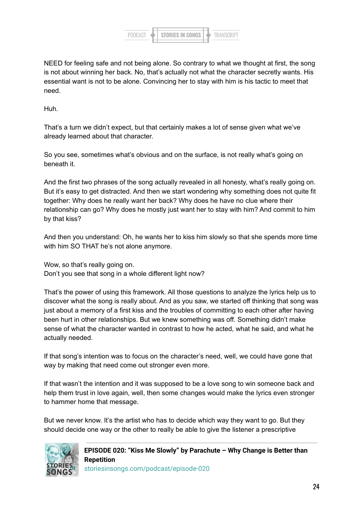

NEED for feeling safe and not being alone. So contrary to what we thought at first, the song is not about winning her back. No, that's actually not what the character secretly wants. His essential want is not to be alone. Convincing her to stay with him is his tactic to meet that need.

Huh.

That's a turn we didn't expect, but that certainly makes a lot of sense given what we've already learned about that character.

So you see, sometimes what's obvious and on the surface, is not really what's going on beneath it.

And the first two phrases of the song actually revealed in all honesty, what's really going on. But it's easy to get distracted. And then we start wondering why something does not quite fit together: Why does he really want her back? Why does he have no clue where their relationship can go? Why does he mostly just want her to stay with him? And commit to him by that kiss?

And then you understand: Oh, he wants her to kiss him slowly so that she spends more time with him SO THAT he's not alone anymore.

Wow, so that's really going on. Don't you see that song in a whole different light now?

That's the power of using this framework. All those questions to analyze the lyrics help us to discover what the song is really about. And as you saw, we started off thinking that song was just about a memory of a first kiss and the troubles of committing to each other after having been hurt in other relationships. But we knew something was off. Something didn't make sense of what the character wanted in contrast to how he acted, what he said, and what he actually needed.

If that song's intention was to focus on the character's need, well, we could have gone that way by making that need come out stronger even more.

If that wasn't the intention and it was supposed to be a love song to win someone back and help them trust in love again, well, then some changes would make the lyrics even stronger to hammer home that message.

But we never know. It's the artist who has to decide which way they want to go. But they should decide one way or the other to really be able to give the listener a prescriptive

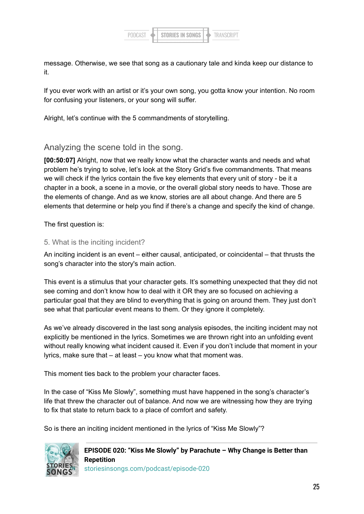

message. Otherwise, we see that song as a cautionary tale and kinda keep our distance to it.

If you ever work with an artist or it's your own song, you gotta know your intention. No room for confusing your listeners, or your song will suffer.

Alright, let's continue with the 5 commandments of storytelling.

### Analyzing the scene told in the song.

**[00:50:07]** Alright, now that we really know what the character wants and needs and what problem he's trying to solve, let's look at the Story Grid's five commandments. That means we will check if the lyrics contain the five key elements that every unit of story - be it a chapter in a book, a scene in a movie, or the overall global story needs to have. Those are the elements of change. And as we know, stories are all about change. And there are 5 elements that determine or help you find if there's a change and specify the kind of change.

The first question is:

#### 5. What is the inciting incident?

An inciting incident is an event – either causal, anticipated, or coincidental – that thrusts the song's character into the story's main action.

This event is a stimulus that your character gets. It's something unexpected that they did not see coming and don't know how to deal with it OR they are so focused on achieving a particular goal that they are blind to everything that is going on around them. They just don't see what that particular event means to them. Or they ignore it completely.

As we've already discovered in the last song analysis episodes, the inciting incident may not explicitly be mentioned in the lyrics. Sometimes we are thrown right into an unfolding event without really knowing what incident caused it. Even if you don't include that moment in your lyrics, make sure that – at least – you know what that moment was.

This moment ties back to the problem your character faces.

In the case of "Kiss Me Slowly", something must have happened in the song's character's life that threw the character out of balance. And now we are witnessing how they are trying to fix that state to return back to a place of comfort and safety.

So is there an inciting incident mentioned in the lyrics of "Kiss Me Slowly"?

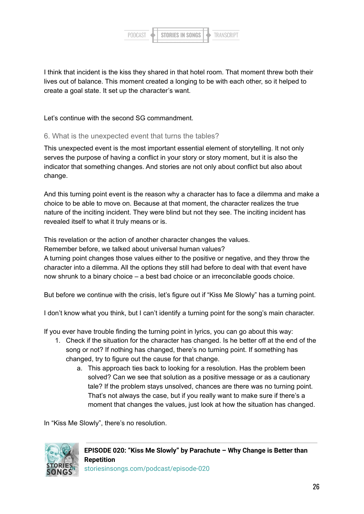

I think that incident is the kiss they shared in that hotel room. That moment threw both their lives out of balance. This moment created a longing to be with each other, so it helped to create a goal state. It set up the character's want.

Let's continue with the second SG commandment.

#### 6. What is the unexpected event that turns the tables?

This unexpected event is the most important essential element of storytelling. It not only serves the purpose of having a conflict in your story or story moment, but it is also the indicator that something changes. And stories are not only about conflict but also about change.

And this turning point event is the reason why a character has to face a dilemma and make a choice to be able to move on. Because at that moment, the character realizes the true nature of the inciting incident. They were blind but not they see. The inciting incident has revealed itself to what it truly means or is.

This revelation or the action of another character changes the values.

Remember before, we talked about universal human values?

A turning point changes those values either to the positive or negative, and they throw the character into a dilemma. All the options they still had before to deal with that event have now shrunk to a binary choice – a best bad choice or an irreconcilable goods choice.

But before we continue with the crisis, let's figure out if "Kiss Me Slowly" has a turning point.

I don't know what you think, but I can't identify a turning point for the song's main character.

If you ever have trouble finding the turning point in lyrics, you can go about this way:

- 1. Check if the situation for the character has changed. Is he better off at the end of the song or not? If nothing has changed, there's no turning point. If something has changed, try to figure out the cause for that change.
	- a. This approach ties back to looking for a resolution. Has the problem been solved? Can we see that solution as a positive message or as a cautionary tale? If the problem stays unsolved, chances are there was no turning point. That's not always the case, but if you really want to make sure if there's a moment that changes the values, just look at how the situation has changed.

In "Kiss Me Slowly", there's no resolution.

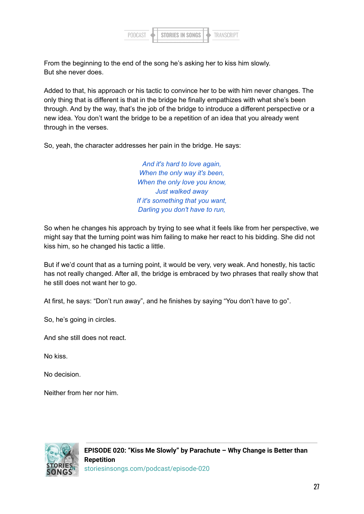

From the beginning to the end of the song he's asking her to kiss him slowly. But she never does.

Added to that, his approach or his tactic to convince her to be with him never changes. The only thing that is different is that in the bridge he finally empathizes with what she's been through. And by the way, that's the job of the bridge to introduce a different perspective or a new idea. You don't want the bridge to be a repetition of an idea that you already went through in the verses.

So, yeah, the character addresses her pain in the bridge. He says:

*And it's hard to love again, When the only way it's been, When the only love you know, Just walked away If it's something that you want, Darling you don't have to run,*

So when he changes his approach by trying to see what it feels like from her perspective, we might say that the turning point was him failing to make her react to his bidding. She did not kiss him, so he changed his tactic a little.

But if we'd count that as a turning point, it would be very, very weak. And honestly, his tactic has not really changed. After all, the bridge is embraced by two phrases that really show that he still does not want her to go.

At first, he says: "Don't run away", and he finishes by saying "You don't have to go".

So, he's going in circles.

And she still does not react.

No kiss.

No decision.

Neither from her nor him.

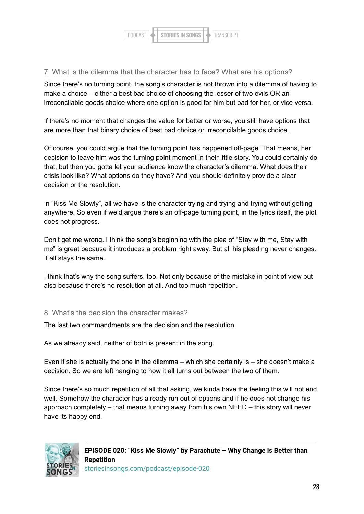

#### 7. What is the dilemma that the character has to face? What are his options?

Since there's no turning point, the song's character is not thrown into a dilemma of having to make a choice – either a best bad choice of choosing the lesser of two evils OR an irreconcilable goods choice where one option is good for him but bad for her, or vice versa.

If there's no moment that changes the value for better or worse, you still have options that are more than that binary choice of best bad choice or irreconcilable goods choice.

Of course, you could argue that the turning point has happened off-page. That means, her decision to leave him was the turning point moment in their little story. You could certainly do that, but then you gotta let your audience know the character's dilemma. What does their crisis look like? What options do they have? And you should definitely provide a clear decision or the resolution.

In "Kiss Me Slowly", all we have is the character trying and trying and trying without getting anywhere. So even if we'd argue there's an off-page turning point, in the lyrics itself, the plot does not progress.

Don't get me wrong. I think the song's beginning with the plea of "Stay with me, Stay with me" is great because it introduces a problem right away. But all his pleading never changes. It all stays the same.

I think that's why the song suffers, too. Not only because of the mistake in point of view but also because there's no resolution at all. And too much repetition.

#### 8. What's the decision the character makes?

The last two commandments are the decision and the resolution.

As we already said, neither of both is present in the song.

Even if she is actually the one in the dilemma – which she certainly is – she doesn't make a decision. So we are left hanging to how it all turns out between the two of them.

Since there's so much repetition of all that asking, we kinda have the feeling this will not end well. Somehow the character has already run out of options and if he does not change his approach completely – that means turning away from his own NEED – this story will never have its happy end.

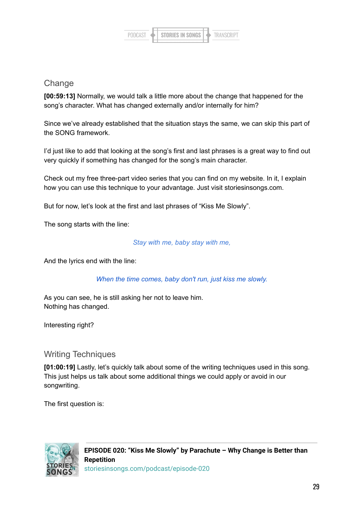

### **Change**

**[00:59:13]** Normally, we would talk a little more about the change that happened for the song's character. What has changed externally and/or internally for him?

Since we've already established that the situation stays the same, we can skip this part of the SONG framework.

I'd just like to add that looking at the song's first and last phrases is a great way to find out very quickly if something has changed for the song's main character.

Check out my free three-part video series that you can find on my website. In it, I explain how you can use this technique to your advantage. Just visit storiesinsongs.com.

But for now, let's look at the first and last phrases of "Kiss Me Slowly".

The song starts with the line:

*Stay with me, baby stay with me,*

And the lyrics end with the line:

*When the time comes, baby don't run, just kiss me slowly.*

As you can see, he is still asking her not to leave him. Nothing has changed.

Interesting right?

### Writing Techniques

**[01:00:19]** Lastly, let's quickly talk about some of the writing techniques used in this song. This just helps us talk about some additional things we could apply or avoid in our songwriting.

The first question is:

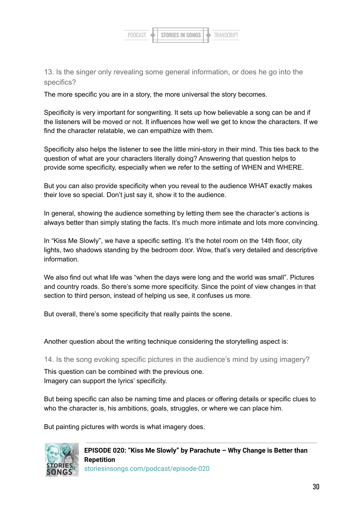

13. Is the singer only revealing some general information, or does he go into the specifics?

The more specific you are in a story, the more universal the story becomes.

Specificity is very important for songwriting. It sets up how believable a song can be and if the listeners will be moved or not. It influences how well we get to know the characters. If we find the character relatable, we can empathize with them.

Specificity also helps the listener to see the little mini-story in their mind. This ties back to the question of what are your characters literally doing? Answering that question helps to provide some specificity, especially when we refer to the setting of WHEN and WHERE.

But you can also provide specificity when you reveal to the audience WHAT exactly makes their love so special. Don't just say it, show it to the audience.

In general, showing the audience something by letting them see the character's actions is always better than simply stating the facts. It's much more intimate and lots more convincing.

In "Kiss Me Slowly", we have a specific setting. It's the hotel room on the 14th floor, city lights, two shadows standing by the bedroom door. Wow, that's very detailed and descriptive information.

We also find out what life was "when the days were long and the world was small". Pictures and country roads. So there's some more specificity. Since the point of view changes in that section to third person, instead of helping us see, it confuses us more.

But overall, there's some specificity that really paints the scene.

Another question about the writing technique considering the storytelling aspect is:

14. Is the song evoking specific pictures in the audience's mind by using imagery?

This question can be combined with the previous one. Imagery can support the lyrics' specificity.

But being specific can also be naming time and places or offering details or specific clues to who the character is, his ambitions, goals, struggles, or where we can place him.

But painting pictures with words is what imagery does.

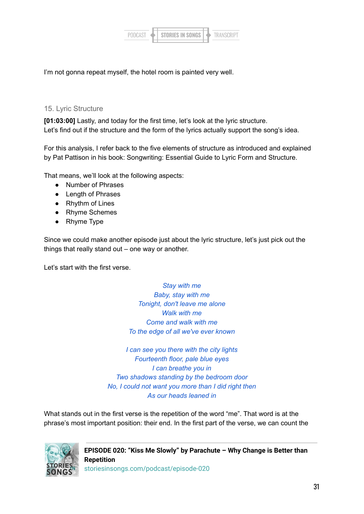

I'm not gonna repeat myself, the hotel room is painted very well.

#### 15. Lyric Structure

**[01:03:00]** Lastly, and today for the first time, let's look at the lyric structure. Let's find out if the structure and the form of the lyrics actually support the song's idea.

For this analysis, I refer back to the five elements of structure as introduced and explained by Pat Pattison in his book: Songwriting: Essential Guide to Lyric Form and Structure.

That means, we'll look at the following aspects:

- Number of Phrases
- Length of Phrases
- Rhythm of Lines
- Rhyme Schemes
- Rhyme Type

Since we could make another episode just about the lyric structure, let's just pick out the things that really stand out – one way or another.

Let's start with the first verse.

*Stay with me Baby, stay with me Tonight, don't leave me alone Walk with me Come and walk with me To the edge of all we've ever known*

*I can see you there with the city lights Fourteenth floor, pale blue eyes I can breathe you in Two shadows standing by the bedroom door No, I could not want you more than I did right then As our heads leaned in*

What stands out in the first verse is the repetition of the word "me". That word is at the phrase's most important position: their end. In the first part of the verse, we can count the

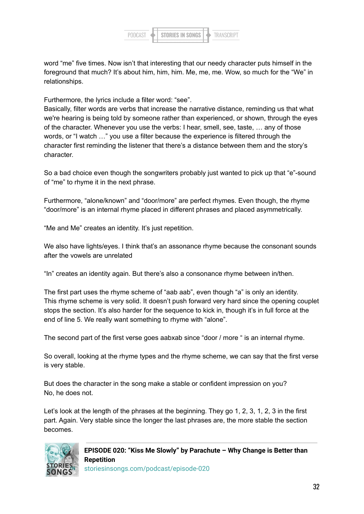

word "me" five times. Now isn't that interesting that our needy character puts himself in the foreground that much? It's about him, him, him. Me, me, me. Wow, so much for the "We" in relationships.

Furthermore, the lyrics include a filter word: "see".

Basically, filter words are verbs that increase the narrative distance, reminding us that what we're hearing is being told by someone rather than experienced, or shown, through the eyes of the character. Whenever you use the verbs: I hear, smell, see, taste, … any of those words, or "I watch …" you use a filter because the experience is filtered through the character first reminding the listener that there's a distance between them and the story's character.

So a bad choice even though the songwriters probably just wanted to pick up that "e"-sound of "me" to rhyme it in the next phrase.

Furthermore, "alone/known" and "door/more" are perfect rhymes. Even though, the rhyme "door/more" is an internal rhyme placed in different phrases and placed asymmetrically.

"Me and Me" creates an identity. It's just repetition.

We also have lights/eyes. I think that's an assonance rhyme because the consonant sounds after the vowels are unrelated

"In" creates an identity again. But there's also a consonance rhyme between in/then.

The first part uses the rhyme scheme of "aab aab", even though "a" is only an identity. This rhyme scheme is very solid. It doesn't push forward very hard since the opening couplet stops the section. It's also harder for the sequence to kick in, though it's in full force at the end of line 5. We really want something to rhyme with "alone".

The second part of the first verse goes aabxab since "door / more " is an internal rhyme.

So overall, looking at the rhyme types and the rhyme scheme, we can say that the first verse is very stable.

But does the character in the song make a stable or confident impression on you? No, he does not.

Let's look at the length of the phrases at the beginning. They go 1, 2, 3, 1, 2, 3 in the first part. Again. Very stable since the longer the last phrases are, the more stable the section becomes.

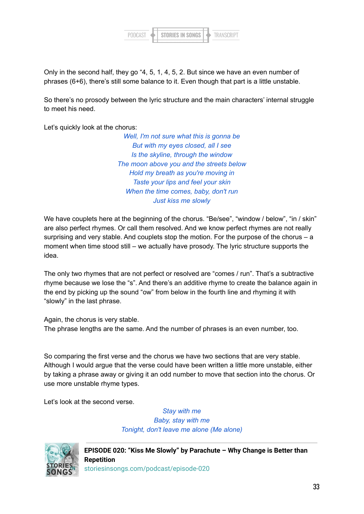

Only in the second half, they go "4, 5, 1, 4, 5, 2. But since we have an even number of phrases (6+6), there's still some balance to it. Even though that part is a little unstable.

So there's no prosody between the lyric structure and the main characters' internal struggle to meet his need.

Let's quickly look at the chorus:

*Well, I'm not sure what this is gonna be But with my eyes closed, all I see Is the skyline, through the window The moon above you and the streets below Hold my breath as you're moving in Taste your lips and feel your skin When the time comes, baby, don't run Just kiss me slowly*

We have couplets here at the beginning of the chorus. "Be/see", "window / below", "in / skin" are also perfect rhymes. Or call them resolved. And we know perfect rhymes are not really surprising and very stable. And couplets stop the motion. For the purpose of the chorus – a moment when time stood still – we actually have prosody. The lyric structure supports the idea.

The only two rhymes that are not perfect or resolved are "comes / run". That's a subtractive rhyme because we lose the "s". And there's an additive rhyme to create the balance again in the end by picking up the sound "ow" from below in the fourth line and rhyming it with "slowly" in the last phrase.

Again, the chorus is very stable. The phrase lengths are the same. And the number of phrases is an even number, too.

So comparing the first verse and the chorus we have two sections that are very stable. Although I would argue that the verse could have been written a little more unstable, either by taking a phrase away or giving it an odd number to move that section into the chorus. Or use more unstable rhyme types.

Let's look at the second verse.

*Stay with me Baby, stay with me Tonight, don't leave me alone (Me alone)*

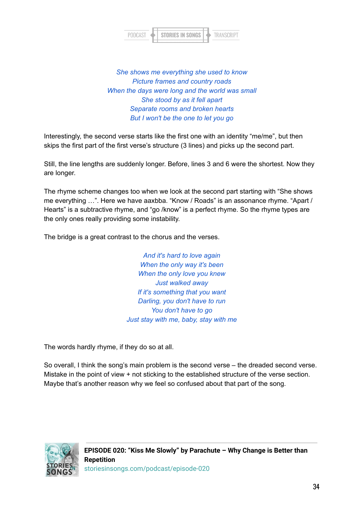

**TRANSCRIPT** 

*She shows me everything she used to know Picture frames and country roads When the days were long and the world was small She stood by as it fell apart Separate rooms and broken hearts But I won't be the one to let you go*

**STORIES IN SONGS** 

Interestingly, the second verse starts like the first one with an identity "me/me", but then skips the first part of the first verse's structure (3 lines) and picks up the second part.

Still, the line lengths are suddenly longer. Before, lines 3 and 6 were the shortest. Now they are longer.

The rhyme scheme changes too when we look at the second part starting with "She shows me everything …". Here we have aaxbba. "Know / Roads" is an assonance rhyme. "Apart / Hearts" is a subtractive rhyme, and "go /know" is a perfect rhyme. So the rhyme types are the only ones really providing some instability.

The bridge is a great contrast to the chorus and the verses.

*And it's hard to love again When the only way it's been When the only love you knew Just walked away If it's something that you want Darling, you don't have to run You don't have to go Just stay with me, baby, stay with me*

The words hardly rhyme, if they do so at all.

So overall, I think the song's main problem is the second verse – the dreaded second verse. Mistake in the point of view + not sticking to the established structure of the verse section. Maybe that's another reason why we feel so confused about that part of the song.

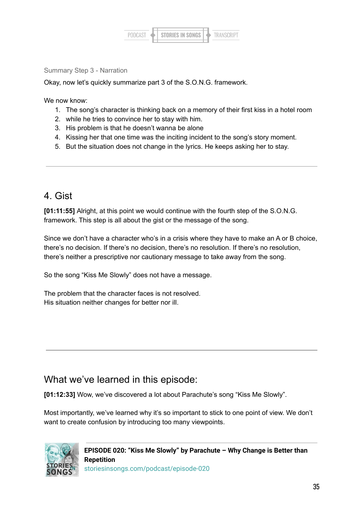

Summary Step 3 - Narration

Okay, now let's quickly summarize part 3 of the S.O.N.G. framework.

We now know:

- 1. The song's character is thinking back on a memory of their first kiss in a hotel room
- 2. while he tries to convince her to stay with him.
- 3. His problem is that he doesn't wanna be alone
- 4. Kissing her that one time was the inciting incident to the song's story moment.
- 5. But the situation does not change in the lyrics. He keeps asking her to stay.

# 4. Gist

**[01:11:55]** Alright, at this point we would continue with the fourth step of the S.O.N.G. framework. This step is all about the gist or the message of the song.

Since we don't have a character who's in a crisis where they have to make an A or B choice, there's no decision. If there's no decision, there's no resolution. If there's no resolution, there's neither a prescriptive nor cautionary message to take away from the song.

So the song "Kiss Me Slowly" does not have a message.

The problem that the character faces is not resolved. His situation neither changes for better nor ill.

# What we've learned in this episode:

**[01:12:33]** Wow, we've discovered a lot about Parachute's song "Kiss Me Slowly".

Most importantly, we've learned why it's so important to stick to one point of view. We don't want to create confusion by introducing too many viewpoints.

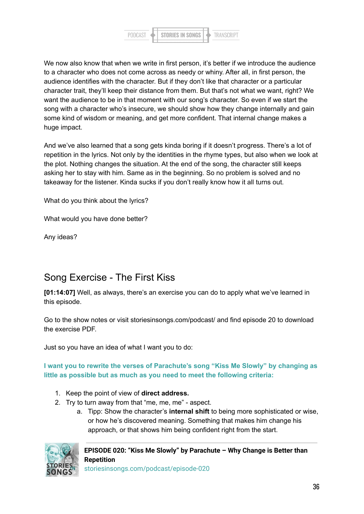

We now also know that when we write in first person, it's better if we introduce the audience to a character who does not come across as needy or whiny. After all, in first person, the audience identifies with the character. But if they don't like that character or a particular character trait, they'll keep their distance from them. But that's not what we want, right? We want the audience to be in that moment with our song's character. So even if we start the song with a character who's insecure, we should show how they change internally and gain some kind of wisdom or meaning, and get more confident. That internal change makes a huge impact.

And we've also learned that a song gets kinda boring if it doesn't progress. There's a lot of repetition in the lyrics. Not only by the identities in the rhyme types, but also when we look at the plot. Nothing changes the situation. At the end of the song, the character still keeps asking her to stay with him. Same as in the beginning. So no problem is solved and no takeaway for the listener. Kinda sucks if you don't really know how it all turns out.

What do you think about the lyrics?

What would you have done better?

Any ideas?

# Song Exercise - The First Kiss

**[01:14:07]** Well, as always, there's an exercise you can do to apply what we've learned in this episode.

Go to the show notes or visit storiesinsongs.com/podcast/ and find episode 20 to download the exercise PDF.

Just so you have an idea of what I want you to do:

#### **I want you to rewrite the verses of Parachute's song "Kiss Me Slowly" by changing as little as possible but as much as you need to meet the following criteria:**

- 1. Keep the point of view of **direct address.**
- 2. Try to turn away from that "me, me, me" aspect.
	- a. Tipp: Show the character's **internal shift** to being more sophisticated or wise, or how he's discovered meaning. Something that makes him change his approach, or that shows him being confident right from the start.



**EPISODE 020: "Kiss Me Slowly" by Parachute – Why Change is Better than Repetition**

[storiesinsongs.com/podcast/episode-020](https://storiesinsongs.com/podcast/episode-020/)